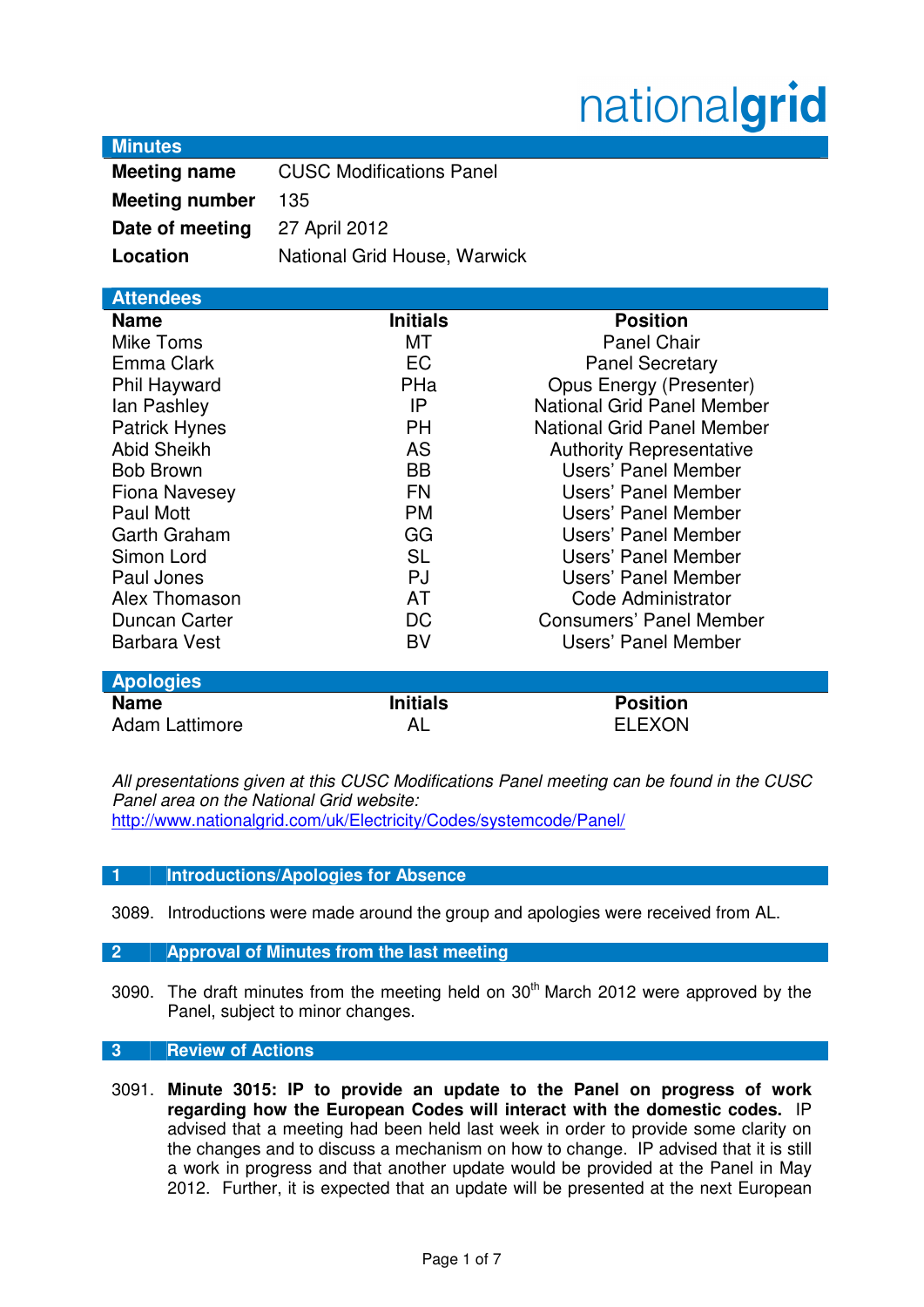# nationalgrid

## **Minutes**

| <b>Meeting name</b>   | <b>CUSC Modifications Panel</b> |  |  |
|-----------------------|---------------------------------|--|--|
| <b>Meeting number</b> | 135                             |  |  |
| Date of meeting       | 27 April 2012                   |  |  |
| Location              | National Grid House, Warwick    |  |  |

| <b>Attendees</b>     |                 |                                   |  |
|----------------------|-----------------|-----------------------------------|--|
| <b>Name</b>          | <b>Initials</b> | <b>Position</b>                   |  |
| Mike Toms            | МT              | <b>Panel Chair</b>                |  |
| Emma Clark           | <b>EC</b>       | <b>Panel Secretary</b>            |  |
| Phil Hayward         | PHa             | <b>Opus Energy (Presenter)</b>    |  |
| lan Pashley          | IP              | <b>National Grid Panel Member</b> |  |
| <b>Patrick Hynes</b> | <b>PH</b>       | <b>National Grid Panel Member</b> |  |
| <b>Abid Sheikh</b>   | <b>AS</b>       | <b>Authority Representative</b>   |  |
| <b>Bob Brown</b>     | <b>BB</b>       | Users' Panel Member               |  |
| <b>Fiona Navesey</b> | <b>FN</b>       | Users' Panel Member               |  |
| Paul Mott            | <b>PM</b>       | Users' Panel Member               |  |
| Garth Graham         | GG              | Users' Panel Member               |  |
| Simon Lord           | SL              | Users' Panel Member               |  |
| Paul Jones           | <b>PJ</b>       | Users' Panel Member               |  |
| Alex Thomason        | AT              | Code Administrator                |  |
| Duncan Carter        | DC              | <b>Consumers' Panel Member</b>    |  |
| <b>Barbara Vest</b>  | BV              | Users' Panel Member               |  |
|                      |                 |                                   |  |
| <b>Apologies</b>     |                 |                                   |  |
| <b>Name</b>          | <b>Initials</b> | <b>Position</b>                   |  |
| Adam Lattimore       | AL              | ELEXON                            |  |

All presentations given at this CUSC Modifications Panel meeting can be found in the CUSC Panel area on the National Grid website: http://www.nationalgrid.com/uk/Electricity/Codes/systemcode/Panel/

## **1 Introductions/Apologies for Absence**

3089. Introductions were made around the group and apologies were received from AL.

## **2 Approval of Minutes from the last meeting**

3090. The draft minutes from the meeting held on 30<sup>th</sup> March 2012 were approved by the Panel, subject to minor changes.

## **3 Review of Actions**

3091. **Minute 3015: IP to provide an update to the Panel on progress of work regarding how the European Codes will interact with the domestic codes.** IP advised that a meeting had been held last week in order to provide some clarity on the changes and to discuss a mechanism on how to change. IP advised that it is still a work in progress and that another update would be provided at the Panel in May 2012. Further, it is expected that an update will be presented at the next European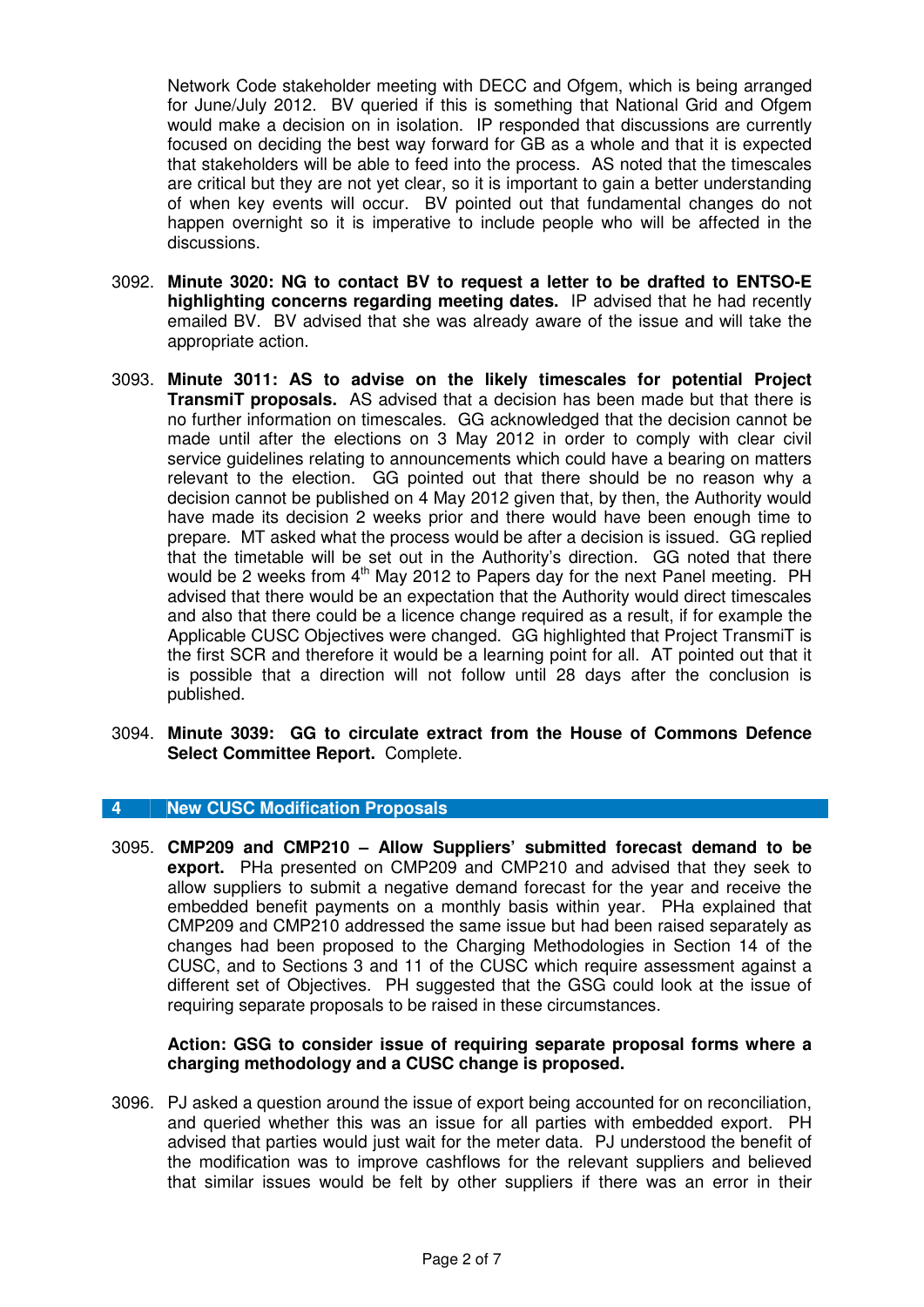Network Code stakeholder meeting with DECC and Ofgem, which is being arranged for June/July 2012. BV queried if this is something that National Grid and Ofgem would make a decision on in isolation. IP responded that discussions are currently focused on deciding the best way forward for GB as a whole and that it is expected that stakeholders will be able to feed into the process. AS noted that the timescales are critical but they are not yet clear, so it is important to gain a better understanding of when key events will occur. BV pointed out that fundamental changes do not happen overnight so it is imperative to include people who will be affected in the discussions.

- 3092. **Minute 3020: NG to contact BV to request a letter to be drafted to ENTSO-E highlighting concerns regarding meeting dates.** IP advised that he had recently emailed BV. BV advised that she was already aware of the issue and will take the appropriate action.
- 3093. **Minute 3011: AS to advise on the likely timescales for potential Project TransmiT proposals.** AS advised that a decision has been made but that there is no further information on timescales. GG acknowledged that the decision cannot be made until after the elections on 3 May 2012 in order to comply with clear civil service guidelines relating to announcements which could have a bearing on matters relevant to the election. GG pointed out that there should be no reason why a decision cannot be published on 4 May 2012 given that, by then, the Authority would have made its decision 2 weeks prior and there would have been enough time to prepare. MT asked what the process would be after a decision is issued. GG replied that the timetable will be set out in the Authority's direction. GG noted that there would be 2 weeks from 4<sup>th</sup> May 2012 to Papers day for the next Panel meeting. PH advised that there would be an expectation that the Authority would direct timescales and also that there could be a licence change required as a result, if for example the Applicable CUSC Objectives were changed. GG highlighted that Project TransmiT is the first SCR and therefore it would be a learning point for all. AT pointed out that it is possible that a direction will not follow until 28 days after the conclusion is published.
- 3094. **Minute 3039: GG to circulate extract from the House of Commons Defence Select Committee Report.** Complete.

## **4 New CUSC Modification Proposals**

3095. **CMP209 and CMP210 – Allow Suppliers' submitted forecast demand to be export.** PHa presented on CMP209 and CMP210 and advised that they seek to allow suppliers to submit a negative demand forecast for the year and receive the embedded benefit payments on a monthly basis within year. PHa explained that CMP209 and CMP210 addressed the same issue but had been raised separately as changes had been proposed to the Charging Methodologies in Section 14 of the CUSC, and to Sections 3 and 11 of the CUSC which require assessment against a different set of Objectives. PH suggested that the GSG could look at the issue of requiring separate proposals to be raised in these circumstances.

## **Action: GSG to consider issue of requiring separate proposal forms where a charging methodology and a CUSC change is proposed.**

3096. PJ asked a question around the issue of export being accounted for on reconciliation, and queried whether this was an issue for all parties with embedded export. PH advised that parties would just wait for the meter data. PJ understood the benefit of the modification was to improve cashflows for the relevant suppliers and believed that similar issues would be felt by other suppliers if there was an error in their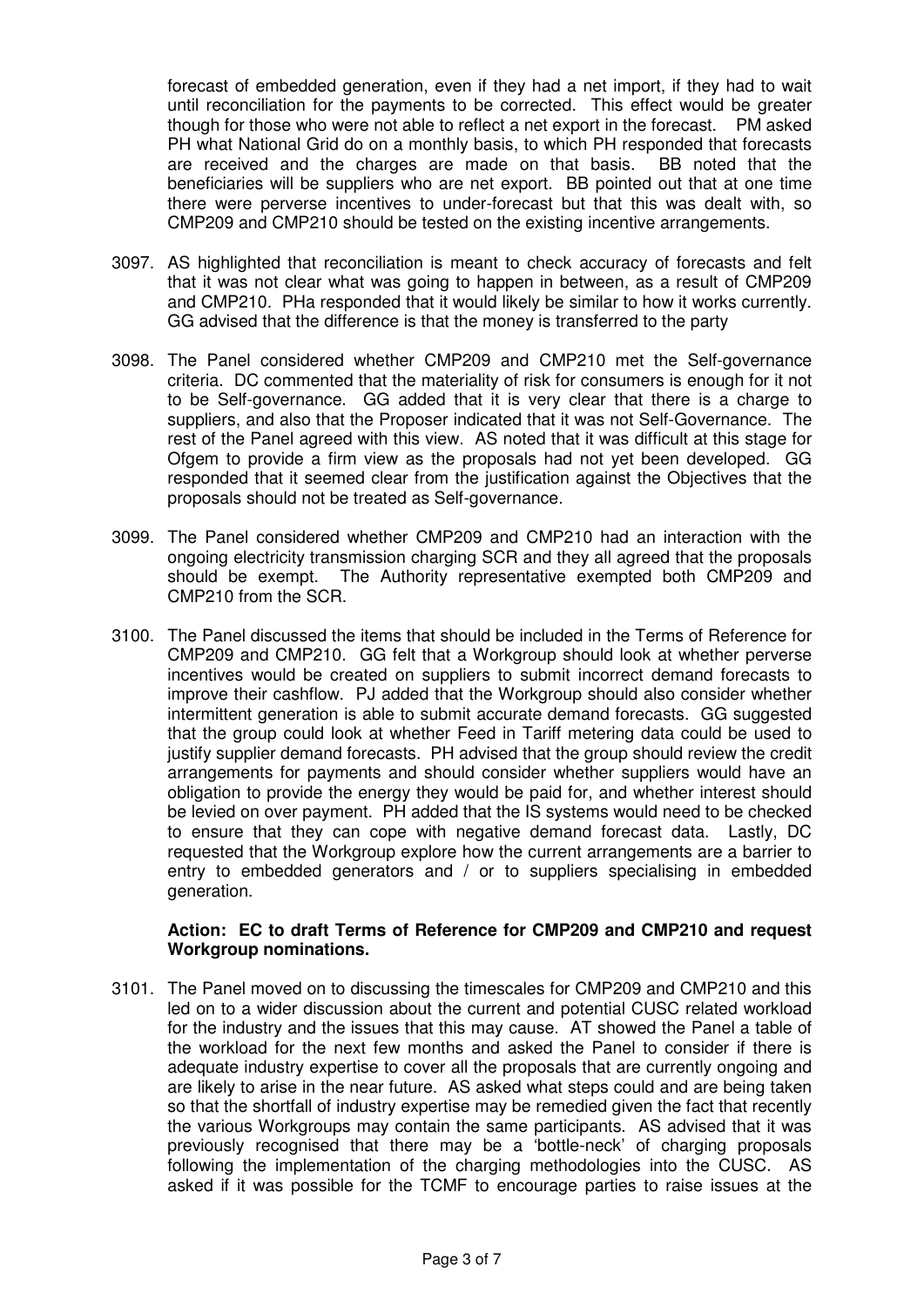forecast of embedded generation, even if they had a net import, if they had to wait until reconciliation for the payments to be corrected. This effect would be greater though for those who were not able to reflect a net export in the forecast. PM asked PH what National Grid do on a monthly basis, to which PH responded that forecasts are received and the charges are made on that basis. BB noted that the beneficiaries will be suppliers who are net export. BB pointed out that at one time there were perverse incentives to under-forecast but that this was dealt with, so CMP209 and CMP210 should be tested on the existing incentive arrangements.

- 3097. AS highlighted that reconciliation is meant to check accuracy of forecasts and felt that it was not clear what was going to happen in between, as a result of CMP209 and CMP210. PHa responded that it would likely be similar to how it works currently. GG advised that the difference is that the money is transferred to the party
- 3098. The Panel considered whether CMP209 and CMP210 met the Self-governance criteria. DC commented that the materiality of risk for consumers is enough for it not to be Self-governance. GG added that it is very clear that there is a charge to suppliers, and also that the Proposer indicated that it was not Self-Governance. The rest of the Panel agreed with this view. AS noted that it was difficult at this stage for Ofgem to provide a firm view as the proposals had not yet been developed. GG responded that it seemed clear from the justification against the Objectives that the proposals should not be treated as Self-governance.
- 3099. The Panel considered whether CMP209 and CMP210 had an interaction with the ongoing electricity transmission charging SCR and they all agreed that the proposals should be exempt. The Authority representative exempted both CMP209 and CMP210 from the SCR.
- 3100. The Panel discussed the items that should be included in the Terms of Reference for CMP209 and CMP210. GG felt that a Workgroup should look at whether perverse incentives would be created on suppliers to submit incorrect demand forecasts to improve their cashflow. PJ added that the Workgroup should also consider whether intermittent generation is able to submit accurate demand forecasts. GG suggested that the group could look at whether Feed in Tariff metering data could be used to justify supplier demand forecasts. PH advised that the group should review the credit arrangements for payments and should consider whether suppliers would have an obligation to provide the energy they would be paid for, and whether interest should be levied on over payment. PH added that the IS systems would need to be checked to ensure that they can cope with negative demand forecast data. Lastly, DC requested that the Workgroup explore how the current arrangements are a barrier to entry to embedded generators and / or to suppliers specialising in embedded generation.

## **Action: EC to draft Terms of Reference for CMP209 and CMP210 and request Workgroup nominations.**

3101. The Panel moved on to discussing the timescales for CMP209 and CMP210 and this led on to a wider discussion about the current and potential CUSC related workload for the industry and the issues that this may cause. AT showed the Panel a table of the workload for the next few months and asked the Panel to consider if there is adequate industry expertise to cover all the proposals that are currently ongoing and are likely to arise in the near future. AS asked what steps could and are being taken so that the shortfall of industry expertise may be remedied given the fact that recently the various Workgroups may contain the same participants. AS advised that it was previously recognised that there may be a 'bottle-neck' of charging proposals following the implementation of the charging methodologies into the CUSC. AS asked if it was possible for the TCMF to encourage parties to raise issues at the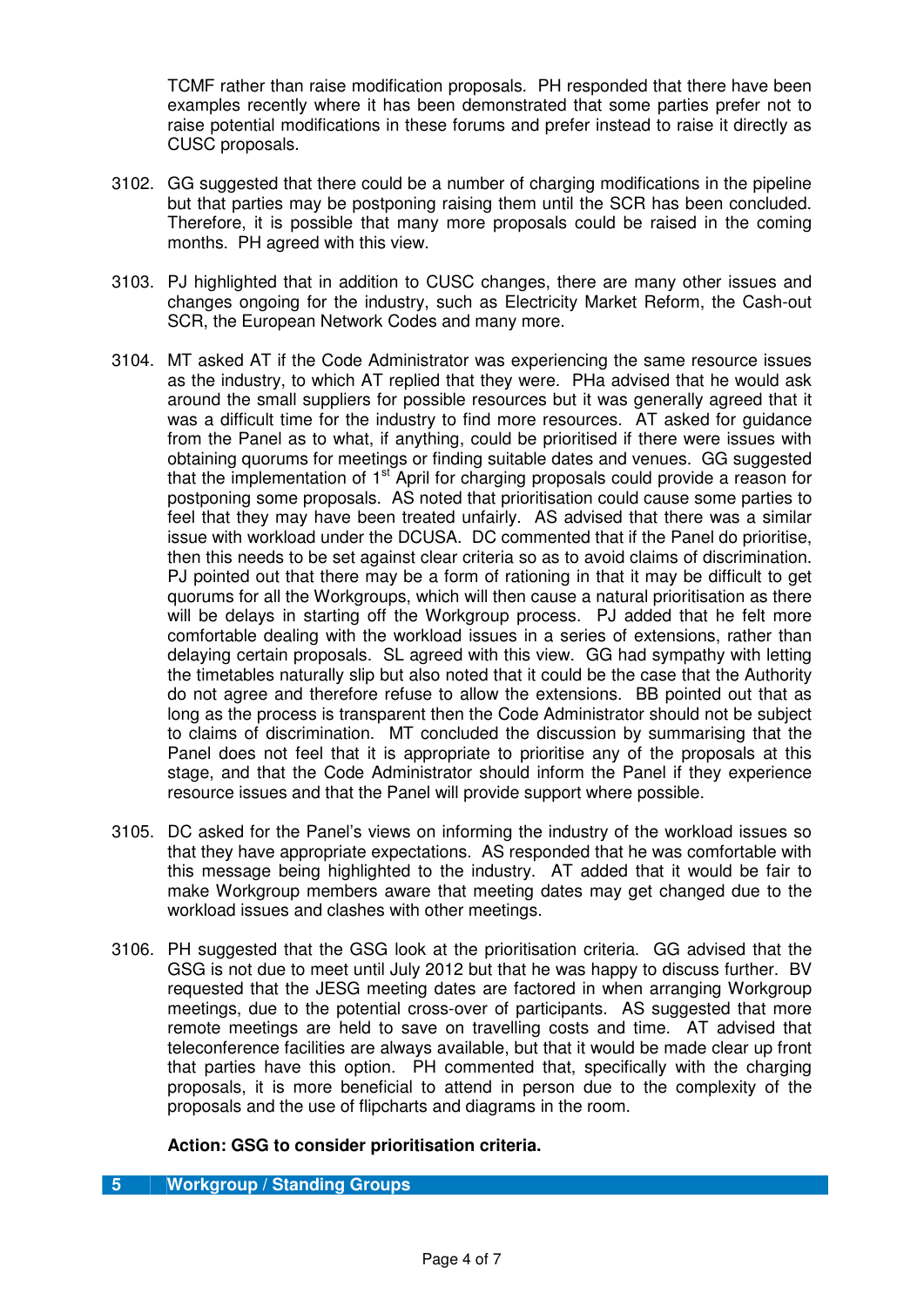TCMF rather than raise modification proposals. PH responded that there have been examples recently where it has been demonstrated that some parties prefer not to raise potential modifications in these forums and prefer instead to raise it directly as CUSC proposals.

- 3102. GG suggested that there could be a number of charging modifications in the pipeline but that parties may be postponing raising them until the SCR has been concluded. Therefore, it is possible that many more proposals could be raised in the coming months. PH agreed with this view.
- 3103. PJ highlighted that in addition to CUSC changes, there are many other issues and changes ongoing for the industry, such as Electricity Market Reform, the Cash-out SCR, the European Network Codes and many more.
- 3104. MT asked AT if the Code Administrator was experiencing the same resource issues as the industry, to which AT replied that they were. PHa advised that he would ask around the small suppliers for possible resources but it was generally agreed that it was a difficult time for the industry to find more resources. AT asked for guidance from the Panel as to what, if anything, could be prioritised if there were issues with obtaining quorums for meetings or finding suitable dates and venues. GG suggested that the implementation of 1<sup>st</sup> April for charging proposals could provide a reason for postponing some proposals. AS noted that prioritisation could cause some parties to feel that they may have been treated unfairly. AS advised that there was a similar issue with workload under the DCUSA. DC commented that if the Panel do prioritise, then this needs to be set against clear criteria so as to avoid claims of discrimination. PJ pointed out that there may be a form of rationing in that it may be difficult to get quorums for all the Workgroups, which will then cause a natural prioritisation as there will be delays in starting off the Workgroup process. PJ added that he felt more comfortable dealing with the workload issues in a series of extensions, rather than delaying certain proposals. SL agreed with this view. GG had sympathy with letting the timetables naturally slip but also noted that it could be the case that the Authority do not agree and therefore refuse to allow the extensions. BB pointed out that as long as the process is transparent then the Code Administrator should not be subject to claims of discrimination. MT concluded the discussion by summarising that the Panel does not feel that it is appropriate to prioritise any of the proposals at this stage, and that the Code Administrator should inform the Panel if they experience resource issues and that the Panel will provide support where possible.
- 3105. DC asked for the Panel's views on informing the industry of the workload issues so that they have appropriate expectations. AS responded that he was comfortable with this message being highlighted to the industry. AT added that it would be fair to make Workgroup members aware that meeting dates may get changed due to the workload issues and clashes with other meetings.
- 3106. PH suggested that the GSG look at the prioritisation criteria. GG advised that the GSG is not due to meet until July 2012 but that he was happy to discuss further. BV requested that the JESG meeting dates are factored in when arranging Workgroup meetings, due to the potential cross-over of participants. AS suggested that more remote meetings are held to save on travelling costs and time. AT advised that teleconference facilities are always available, but that it would be made clear up front that parties have this option. PH commented that, specifically with the charging proposals, it is more beneficial to attend in person due to the complexity of the proposals and the use of flipcharts and diagrams in the room.

## **Action: GSG to consider prioritisation criteria.**

#### **5 Workgroup / Standing Groups**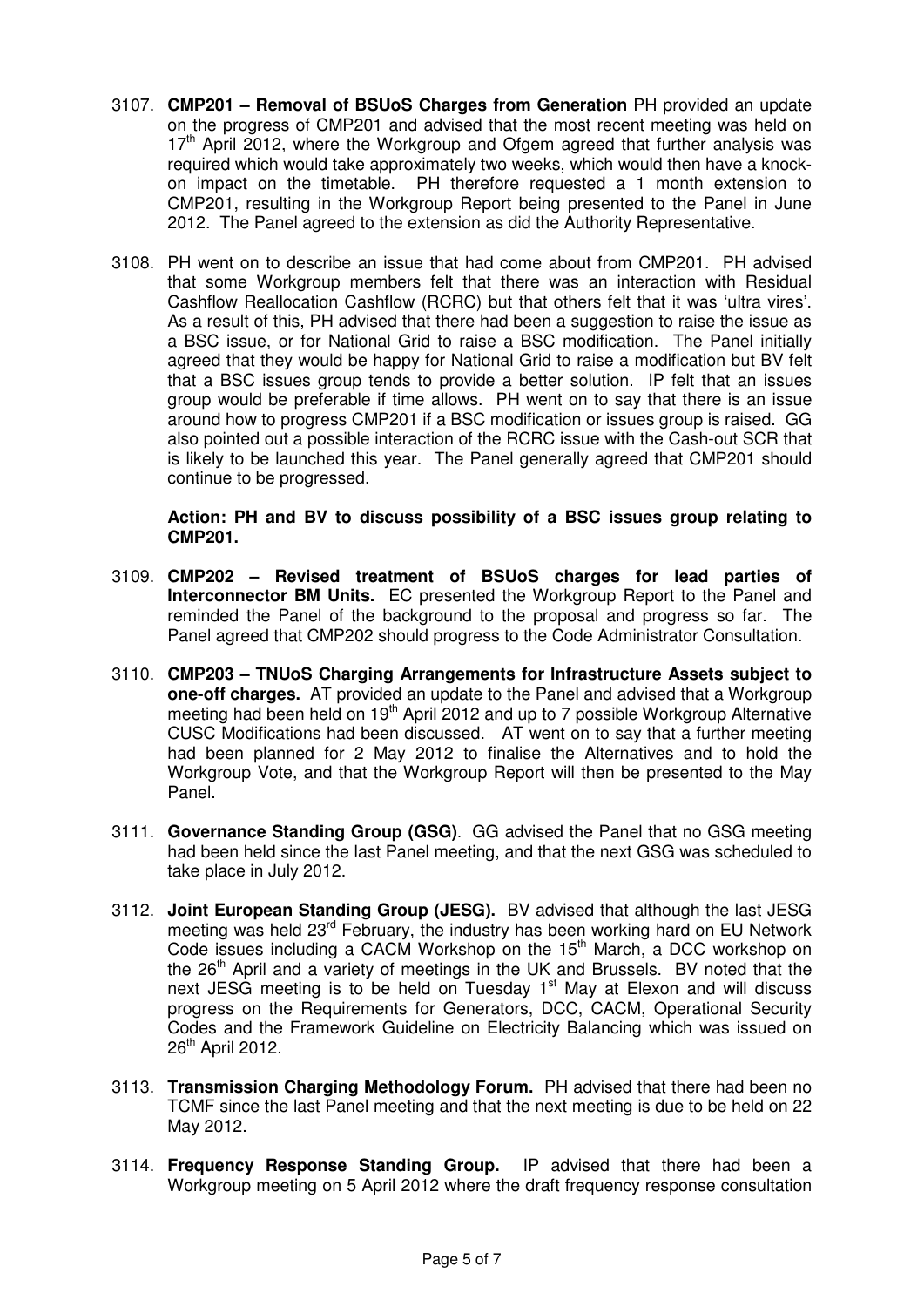- 3107. **CMP201 Removal of BSUoS Charges from Generation** PH provided an update on the progress of CMP201 and advised that the most recent meeting was held on  $17<sup>th</sup>$  April 2012, where the Workgroup and Ofgem agreed that further analysis was required which would take approximately two weeks, which would then have a knockon impact on the timetable. PH therefore requested a 1 month extension to CMP201, resulting in the Workgroup Report being presented to the Panel in June 2012. The Panel agreed to the extension as did the Authority Representative.
- 3108. PH went on to describe an issue that had come about from CMP201. PH advised that some Workgroup members felt that there was an interaction with Residual Cashflow Reallocation Cashflow (RCRC) but that others felt that it was 'ultra vires'. As a result of this, PH advised that there had been a suggestion to raise the issue as a BSC issue, or for National Grid to raise a BSC modification. The Panel initially agreed that they would be happy for National Grid to raise a modification but BV felt that a BSC issues group tends to provide a better solution. IP felt that an issues group would be preferable if time allows. PH went on to say that there is an issue around how to progress CMP201 if a BSC modification or issues group is raised. GG also pointed out a possible interaction of the RCRC issue with the Cash-out SCR that is likely to be launched this year. The Panel generally agreed that CMP201 should continue to be progressed.

**Action: PH and BV to discuss possibility of a BSC issues group relating to CMP201.** 

- 3109. **CMP202 Revised treatment of BSUoS charges for lead parties of Interconnector BM Units.** EC presented the Workgroup Report to the Panel and reminded the Panel of the background to the proposal and progress so far. The Panel agreed that CMP202 should progress to the Code Administrator Consultation.
- 3110. **CMP203 TNUoS Charging Arrangements for Infrastructure Assets subject to one-off charges.** AT provided an update to the Panel and advised that a Workgroup meeting had been held on 19<sup>th</sup> April 2012 and up to 7 possible Workgroup Alternative CUSC Modifications had been discussed. AT went on to say that a further meeting had been planned for 2 May 2012 to finalise the Alternatives and to hold the Workgroup Vote, and that the Workgroup Report will then be presented to the May Panel.
- 3111. **Governance Standing Group (GSG)**. GG advised the Panel that no GSG meeting had been held since the last Panel meeting, and that the next GSG was scheduled to take place in July 2012.
- 3112. **Joint European Standing Group (JESG).** BV advised that although the last JESG meeting was held 23<sup>rd</sup> February, the industry has been working hard on EU Network Code issues including a CACM Workshop on the 15<sup>th</sup> March, a DCC workshop on the 26<sup>th</sup> April and a variety of meetings in the UK and Brussels. BV noted that the next JESG meeting is to be held on Tuesday  $1<sup>st</sup>$  May at Elexon and will discuss progress on the Requirements for Generators, DCC, CACM, Operational Security Codes and the Framework Guideline on Electricity Balancing which was issued on 26<sup>th</sup> April 2012.
- 3113. **Transmission Charging Methodology Forum.** PH advised that there had been no TCMF since the last Panel meeting and that the next meeting is due to be held on 22 May 2012.
- 3114. **Frequency Response Standing Group.** IP advised that there had been a Workgroup meeting on 5 April 2012 where the draft frequency response consultation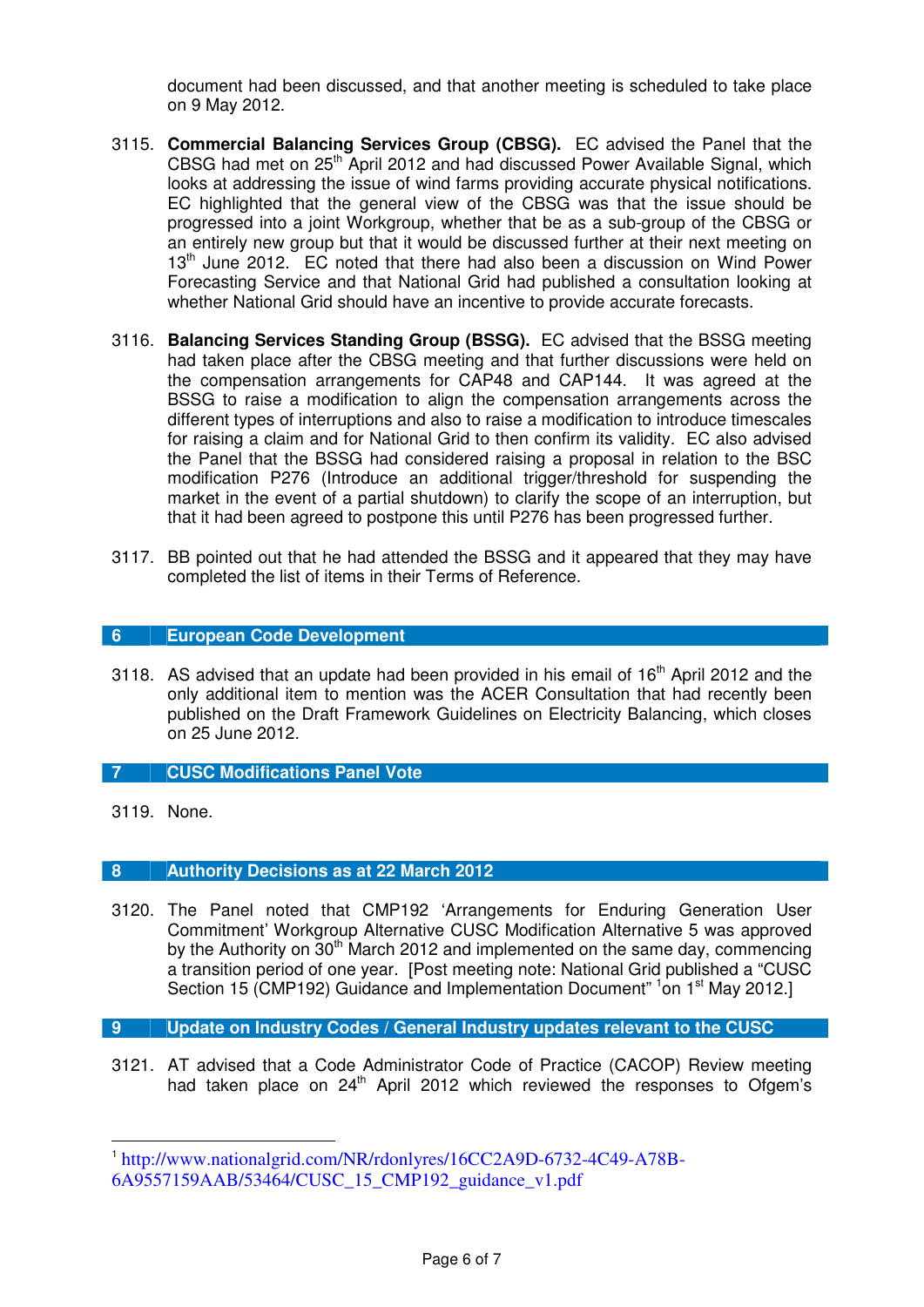document had been discussed, and that another meeting is scheduled to take place on 9 May 2012.

- 3115. **Commercial Balancing Services Group (CBSG).** EC advised the Panel that the CBSG had met on 25<sup>th</sup> April 2012 and had discussed Power Available Signal, which looks at addressing the issue of wind farms providing accurate physical notifications. EC highlighted that the general view of the CBSG was that the issue should be progressed into a joint Workgroup, whether that be as a sub-group of the CBSG or an entirely new group but that it would be discussed further at their next meeting on 13<sup>th</sup> June 2012. EC noted that there had also been a discussion on Wind Power Forecasting Service and that National Grid had published a consultation looking at whether National Grid should have an incentive to provide accurate forecasts.
- 3116. **Balancing Services Standing Group (BSSG).** EC advised that the BSSG meeting had taken place after the CBSG meeting and that further discussions were held on the compensation arrangements for CAP48 and CAP144. It was agreed at the BSSG to raise a modification to align the compensation arrangements across the different types of interruptions and also to raise a modification to introduce timescales for raising a claim and for National Grid to then confirm its validity. EC also advised the Panel that the BSSG had considered raising a proposal in relation to the BSC modification P276 (Introduce an additional trigger/threshold for suspending the market in the event of a partial shutdown) to clarify the scope of an interruption, but that it had been agreed to postpone this until P276 has been progressed further.
- 3117. BB pointed out that he had attended the BSSG and it appeared that they may have completed the list of items in their Terms of Reference.

## **6 European Code Development**

3118. AS advised that an update had been provided in his email of  $16<sup>th</sup>$  April 2012 and the only additional item to mention was the ACER Consultation that had recently been published on the Draft Framework Guidelines on Electricity Balancing, which closes on 25 June 2012.

## **7 CUSC Modifications Panel Vote**

3119. None.

-

#### **8 Authority Decisions as at 22 March 2012**

3120. The Panel noted that CMP192 'Arrangements for Enduring Generation User Commitment' Workgroup Alternative CUSC Modification Alternative 5 was approved by the Authority on  $30<sup>th</sup>$  March 2012 and implemented on the same day, commencing a transition period of one year. [Post meeting note: National Grid published a "CUSC Section 15 (CMP192) Guidance and Implementation Document" <sup>1</sup> on 1<sup>st</sup> May 2012.]

## **9 Update on Industry Codes / General Industry updates relevant to the CUSC**

3121. AT advised that a Code Administrator Code of Practice (CACOP) Review meeting had taken place on  $24<sup>th</sup>$  April 2012 which reviewed the responses to Ofgem's

<sup>1</sup> http://www.nationalgrid.com/NR/rdonlyres/16CC2A9D-6732-4C49-A78B-6A9557159AAB/53464/CUSC\_15\_CMP192\_guidance\_v1.pdf